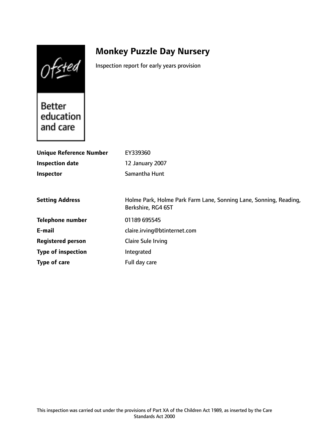Ofsted

# **Monkey Puzzle Day Nursery**

Inspection report for early years provision

**Better** education and care

| <b>Unique Reference Number</b><br><b>Inspection date</b> | EY339360<br>12 January 2007                                                             |
|----------------------------------------------------------|-----------------------------------------------------------------------------------------|
| <b>Inspector</b>                                         | Samantha Hunt                                                                           |
| <b>Setting Address</b>                                   | Holme Park, Holme Park Farm Lane, Sonning Lane, Sonning, Reading,<br>Berkshire, RG4 6ST |
| <b>Telephone number</b>                                  | 01189 695545                                                                            |
| E-mail                                                   | claire.irving@btinternet.com                                                            |
| <b>Registered person</b>                                 | Claire Sule Irving                                                                      |
| <b>Type of inspection</b>                                | Integrated                                                                              |
| Type of care                                             | Full day care                                                                           |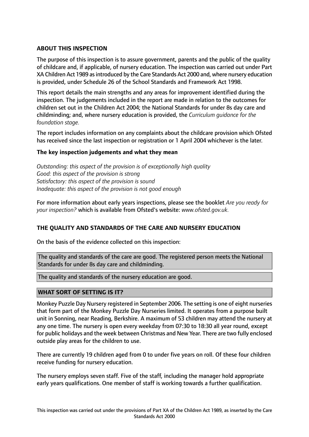# **ABOUT THIS INSPECTION**

The purpose of this inspection is to assure government, parents and the public of the quality of childcare and, if applicable, of nursery education. The inspection was carried out under Part XA Children Act 1989 as introduced by the Care Standards Act 2000 and, where nursery education is provided, under Schedule 26 of the School Standards and Framework Act 1998.

This report details the main strengths and any areas for improvement identified during the inspection. The judgements included in the report are made in relation to the outcomes for children set out in the Children Act 2004; the National Standards for under 8s day care and childminding; and, where nursery education is provided, the *Curriculum guidance for the foundation stage.*

The report includes information on any complaints about the childcare provision which Ofsted has received since the last inspection or registration or 1 April 2004 whichever is the later.

## **The key inspection judgements and what they mean**

*Outstanding: this aspect of the provision is of exceptionally high quality Good: this aspect of the provision is strong Satisfactory: this aspect of the provision is sound Inadequate: this aspect of the provision is not good enough*

For more information about early years inspections, please see the booklet *Are you ready for your inspection?* which is available from Ofsted's website: *www.ofsted.gov.uk.*

## **THE QUALITY AND STANDARDS OF THE CARE AND NURSERY EDUCATION**

On the basis of the evidence collected on this inspection:

The quality and standards of the care are good. The registered person meets the National Standards for under 8s day care and childminding.

The quality and standards of the nursery education are good.

## **WHAT SORT OF SETTING IS IT?**

Monkey Puzzle Day Nursery registered in September 2006. The setting is one of eight nurseries that form part of the Monkey Puzzle Day Nurseries limited. It operates from a purpose built unit in Sonning, near Reading, Berkshire. A maximum of 53 children may attend the nursery at any one time. The nursery is open every weekday from 07:30 to 18:30 all year round, except for public holidays and the week between Christmas and New Year. There are two fully enclosed outside play areas for the children to use.

There are currently 19 children aged from 0 to under five years on roll. Of these four children receive funding for nursery education.

The nursery employs seven staff. Five of the staff, including the manager hold appropriate early years qualifications. One member of staff is working towards a further qualification.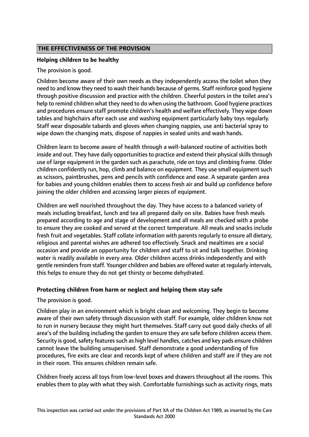# **THE EFFECTIVENESS OF THE PROVISION**

## **Helping children to be healthy**

The provision is good.

Children become aware of their own needs as they independently access the toilet when they need to and know they need to wash their hands because of germs. Staff reinforce good hygiene through positive discussion and practice with the children. Cheerful posters in the toilet area's help to remind children what they need to do when using the bathroom. Good hygiene practices and procedures ensure staff promote children's health and welfare effectively. They wipe down tables and highchairs after each use and washing equipment particularly baby toys regularly. Staff wear disposable tabards and gloves when changing nappies, use anti bacterial spray to wipe down the changing mats, dispose of nappies in sealed units and wash hands.

Children learn to become aware of health through a well-balanced routine of activities both inside and out. They have daily opportunities to practice and extend their physical skills through use of large equipment in the garden such as parachute, ride on toys and climbing frame. Older children confidently run, hop, climb and balance on equipment. They use small equipment such as scissors, paintbrushes, pens and pencils with confidence and ease. A separate garden area for babies and young children enables them to access fresh air and build up confidence before joining the older children and accessing larger pieces of equipment.

Children are well nourished throughout the day. They have access to a balanced variety of meals including breakfast, lunch and tea all prepared daily on site. Babies have fresh meals prepared according to age and stage of development and all meals are checked with a probe to ensure they are cooked and served at the correct temperature. All meals and snacks include fresh fruit and vegetables. Staff collate information with parents regularly to ensure all dietary, religious and parental wishes are adhered too effectively. Snack and mealtimes are a social occasion and provide an opportunity for children and staff to sit and talk together. Drinking water is readily available in every area. Older children access drinks independently and with gentle remindersfrom staff. Younger children and babies are offered water at regularly intervals, this helps to ensure they do not get thirsty or become dehydrated.

## **Protecting children from harm or neglect and helping them stay safe**

The provision is good.

Children play in an environment which is bright clean and welcoming. They begin to become aware of their own safety through discussion with staff. For example, older children know not to run in nursery because they might hurt themselves. Staff carry out good daily checks of all area's of the building including the garden to ensure they are safe before children access them. Security is good, safety features such as high level handles, catches and key pads ensure children cannot leave the building unsupervised. Staff demonstrate a good understanding of fire procedures, fire exits are clear and records kept of where children and staff are if they are not in their room. This ensures children remain safe.

Children freely access all toys from low-level boxes and drawers throughout all the rooms. This enables them to play with what they wish. Comfortable furnishings such as activity rings, mats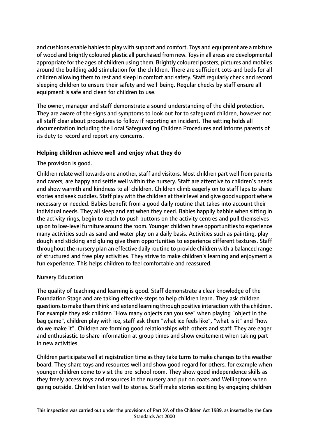and cushions enable babies to play with support and comfort. Toys and equipment are a mixture of wood and brightly coloured plastic all purchased from new. Toysin all areas are developmental appropriate for the ages of children using them. Brightly coloured posters, pictures and mobiles around the building add stimulation for the children. There are sufficient cots and beds for all children allowing them to rest and sleep in comfort and safety. Staff regularly check and record sleeping children to ensure their safety and well-being. Regular checks by staff ensure all equipment is safe and clean for children to use.

The owner, manager and staff demonstrate a sound understanding of the child protection. They are aware of the signs and symptoms to look out for to safeguard children, however not all staff clear about procedures to follow if reporting an incident. The setting holds all documentation including the Local Safeguarding Children Procedures and informs parents of its duty to record and report any concerns.

## **Helping children achieve well and enjoy what they do**

### The provision is good.

Children relate well towards one another, staff and visitors. Most children part well from parents and carers, are happy and settle well within the nursery. Staff are attentive to children's needs and show warmth and kindness to all children. Children climb eagerly on to staff laps to share stories and seek cuddles. Staff play with the children at their level and give good support where necessary or needed. Babies benefit from a good daily routine that takes into account their individual needs. They all sleep and eat when they need. Babies happily babble when sitting in the activity rings, begin to reach to push buttons on the activity centres and pull themselves up on to low-level furniture around the room. Younger children have opportunities to experience many activities such as sand and water play on a daily basis. Activities such as painting, play dough and sticking and gluing give them opportunities to experience different textures. Staff throughout the nursery plan an effective daily routine to provide children with a balanced range of structured and free play activities. They strive to make children's learning and enjoyment a fun experience. This helps children to feel comfortable and reassured.

#### Nursery Education

The quality of teaching and learning is good. Staff demonstrate a clear knowledge of the Foundation Stage and are taking effective steps to help children learn. They ask children questions to make them think and extend learning through positive interaction with the children. For example they ask children "How many objects can you see" when playing "object in the bag game", children play with ice, staff ask them "what ice feels like", "what is it" and "how do we make it". Children are forming good relationships with others and staff. They are eager and enthusiastic to share information at group times and show excitement when taking part in new activities.

Children participate well at registration time as they take turns to make changes to the weather board. They share toys and resources well and show good regard for others, for example when younger children come to visit the pre-school room. They show good independence skills as they freely access toys and resources in the nursery and put on coats and Wellingtons when going outside. Children listen well to stories. Staff make stories exciting by engaging children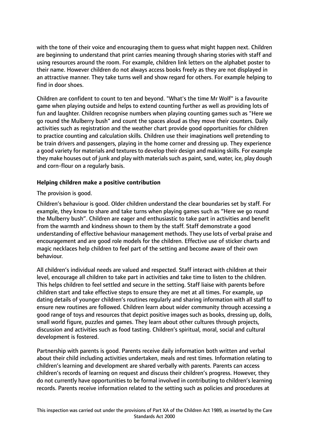with the tone of their voice and encouraging them to guess what might happen next. Children are beginning to understand that print carries meaning through sharing stories with staff and using resources around the room. For example, children link letters on the alphabet poster to their name. However children do not always access books freely as they are not displayed in an attractive manner. They take turns well and show regard for others. For example helping to find in door shoes.

Children are confident to count to ten and beyond. "What's the time Mr Wolf" is a favourite game when playing outside and helps to extend counting further as well as providing lots of fun and laughter. Children recognise numbers when playing counting games such as "Here we go round the Mulberry bush" and count the spaces aloud as they move their counters. Daily activities such as registration and the weather chart provide good opportunities for children to practice counting and calculation skills. Children use their imaginations well pretending to be train drivers and passengers, playing in the home corner and dressing up. They experience a good variety for materials and textures to develop their design and making skills. For example they make houses out of junk and play with materials such as paint, sand, water, ice, play dough and corn-flour on a regularly basis.

## **Helping children make a positive contribution**

The provision is good.

Children's behaviour is good. Older children understand the clear boundaries set by staff. For example, they know to share and take turns when playing games such as "Here we go round the Mulberry bush". Children are eager and enthusiastic to take part in activities and benefit from the warmth and kindness shown to them by the staff. Staff demonstrate a good understanding of effective behaviour management methods. They use lots of verbal praise and encouragement and are good role models for the children. Effective use of sticker charts and magic necklaces help children to feel part of the setting and become aware of their own behaviour.

All children's individual needs are valued and respected. Staff interact with children at their level, encourage all children to take part in activities and take time to listen to the children. This helps children to feel settled and secure in the setting. Staff liaise with parents before children start and take effective steps to ensure they are met at all times. For example, up dating details of younger children's routines regularly and sharing information with all staff to ensure new routines are followed. Children learn about wider community through accessing a good range of toys and resources that depict positive images such as books, dressing up, dolls, small world figure, puzzles and games. They learn about other cultures through projects, discussion and activities such as food tasting. Children's spiritual, moral, social and cultural development is fostered.

Partnership with parents is good. Parents receive daily information both written and verbal about their child including activities undertaken, meals and rest times. Information relating to children's learning and development are shared verbally with parents. Parents can access children's records of learning on request and discuss their children's progress. However, they do not currently have opportunities to be formal involved in contributing to children's learning records. Parents receive information related to the setting such as policies and procedures at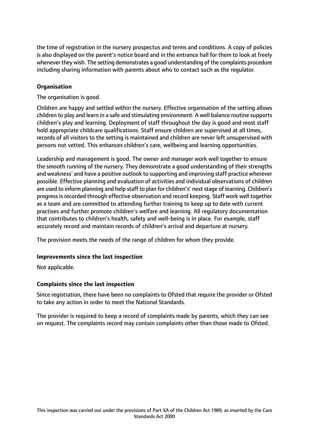the time of registration in the nursery prospectus and terms and conditions. A copy of policies is also displayed on the parent's notice board and in the entrance hall for them to look at freely whenever they wish. The setting demonstrates a good understanding of the complaints procedure including sharing information with parents about who to contact such as the regulator.

# **Organisation**

The organisation is good.

Children are happy and settled within the nursery. Effective organisation of the setting allows children to play and learn in a safe and stimulating environment. A well balance routine supports children's play and learning. Deployment of staff throughout the day is good and most staff hold appropriate childcare qualifications. Staff ensure children are supervised at all times, records of all visitors to the setting is maintained and children are never left unsupervised with persons not vetted. This enhances children's care, wellbeing and learning opportunities.

Leadership and management is good. The owner and manager work well together to ensure the smooth running of the nursery. They demonstrate a good understanding of their strengths and weakness' and have a positive outlook to supporting and improving staff practice wherever possible. Effective planning and evaluation of activities and individual observations of children are used to inform planning and help staff to plan for children's' next stage of learning. Children's progressisrecorded through effective observation and record keeping. Staff work well together as a team and are committed to attending further training to keep up to date with current practises and further promote children's welfare and learning. All regulatory documentation that contributes to children's health, safety and well-being is in place. For example, staff accurately record and maintain records of children's arrival and departure at nursery.

The provision meets the needs of the range of children for whom they provide.

## **Improvements since the last inspection**

Not applicable.

## **Complaints since the last inspection**

Since registration, there have been no complaints to Ofsted that require the provider or Ofsted to take any action in order to meet the National Standards.

The provider is required to keep a record of complaints made by parents, which they can see on request. The complaints record may contain complaints other than those made to Ofsted.